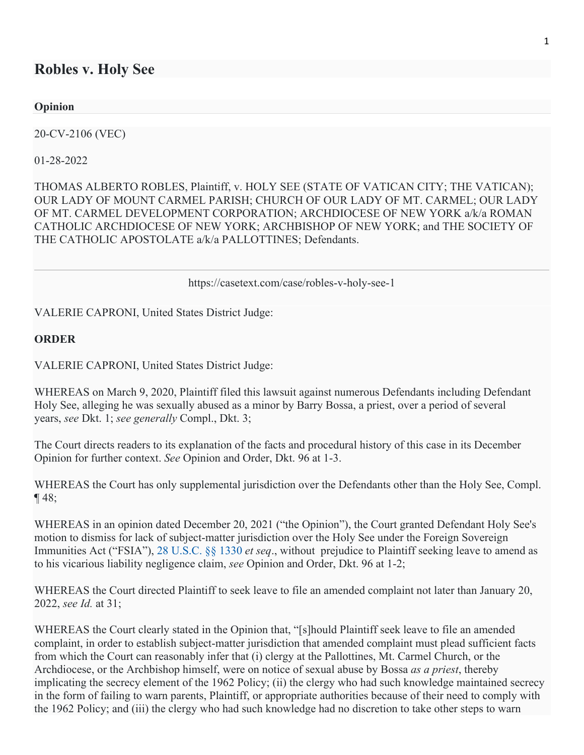## **Robles v. Holy See**

**Opinion** 

20-CV-2106 (VEC)

01-28-2022

THOMAS ALBERTO ROBLES, Plaintiff, v. HOLY SEE (STATE OF VATICAN CITY; THE VATICAN); OUR LADY OF MOUNT CARMEL PARISH; CHURCH OF OUR LADY OF MT. CARMEL; OUR LADY OF MT. CARMEL DEVELOPMENT CORPORATION; ARCHDIOCESE OF NEW YORK a/k/a ROMAN CATHOLIC ARCHDIOCESE OF NEW YORK; ARCHBISHOP OF NEW YORK; and THE SOCIETY OF THE CATHOLIC APOSTOLATE a/k/a PALLOTTINES; Defendants.

https://casetext.com/case/robles-v-holy-see-1

VALERIE CAPRONI, United States District Judge:

## **ORDER**

VALERIE CAPRONI, United States District Judge:

WHEREAS on March 9, 2020, Plaintiff filed this lawsuit against numerous Defendants including Defendant Holy See, alleging he was sexually abused as a minor by Barry Bossa, a priest, over a period of several years, *see* Dkt. 1; *see generally* Compl., Dkt. 3;

The Court directs readers to its explanation of the facts and procedural history of this case in its December Opinion for further context. *See* Opinion and Order, Dkt. 96 at 1-3.

WHEREAS the Court has only supplemental jurisdiction over the Defendants other than the Holy See, Compl.  $\P$ 48;

WHEREAS in an opinion dated December 20, 2021 ("the Opinion"), the Court granted Defendant Holy See's motion to dismiss for lack of subject-matter jurisdiction over the Holy See under the Foreign Sovereign Immunities Act ("FSIA"), 28 U.S.C. §§ 1330 *et seq*., without prejudice to Plaintiff seeking leave to amend as to his vicarious liability negligence claim, *see* Opinion and Order, Dkt. 96 at 1-2;

WHEREAS the Court directed Plaintiff to seek leave to file an amended complaint not later than January 20, 2022, *see Id.* at 31;

WHEREAS the Court clearly stated in the Opinion that, "[s]hould Plaintiff seek leave to file an amended complaint, in order to establish subject-matter jurisdiction that amended complaint must plead sufficient facts from which the Court can reasonably infer that (i) clergy at the Pallottines, Mt. Carmel Church, or the Archdiocese, or the Archbishop himself, were on notice of sexual abuse by Bossa *as a priest*, thereby implicating the secrecy element of the 1962 Policy; (ii) the clergy who had such knowledge maintained secrecy in the form of failing to warn parents, Plaintiff, or appropriate authorities because of their need to comply with the 1962 Policy; and (iii) the clergy who had such knowledge had no discretion to take other steps to warn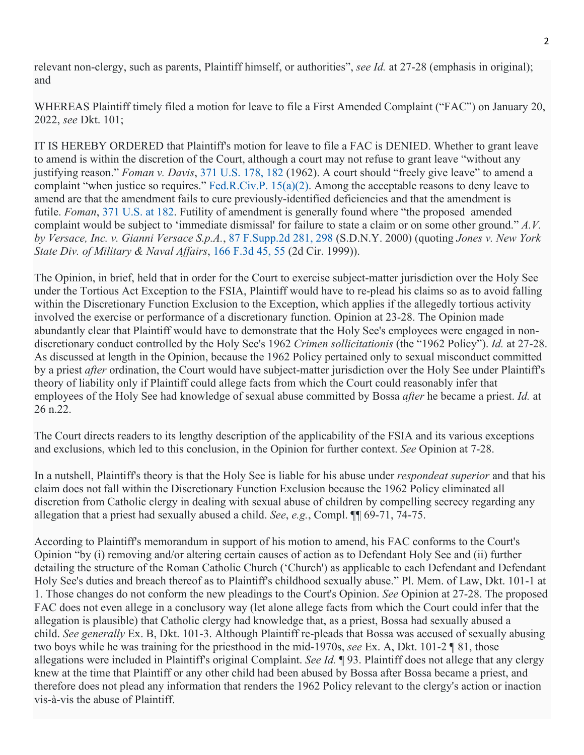relevant non-clergy, such as parents, Plaintiff himself, or authorities", *see Id.* at 27-28 (emphasis in original); and

WHEREAS Plaintiff timely filed a motion for leave to file a First Amended Complaint ("FAC") on January 20, 2022, *see* Dkt. 101;

IT IS HEREBY ORDERED that Plaintiff's motion for leave to file a FAC is DENIED. Whether to grant leave to amend is within the discretion of the Court, although a court may not refuse to grant leave "without any justifying reason." *Foman v. Davis*, 371 U.S. 178, 182 (1962). A court should "freely give leave" to amend a complaint "when justice so requires." Fed.R.Civ.P. 15(a)(2). Among the acceptable reasons to deny leave to amend are that the amendment fails to cure previously-identified deficiencies and that the amendment is futile. *Foman*, 371 U.S. at 182. Futility of amendment is generally found where "the proposed amended complaint would be subject to 'immediate dismissal' for failure to state a claim or on some other ground." *A.V. by Versace, Inc. v. Gianni Versace S.p.A.*, 87 F.Supp.2d 281, 298 (S.D.N.Y. 2000) (quoting *Jones v. New York State Div. of Military & Naval Affairs*, 166 F.3d 45, 55 (2d Cir. 1999)).

The Opinion, in brief, held that in order for the Court to exercise subject-matter jurisdiction over the Holy See under the Tortious Act Exception to the FSIA, Plaintiff would have to re-plead his claims so as to avoid falling within the Discretionary Function Exclusion to the Exception, which applies if the allegedly tortious activity involved the exercise or performance of a discretionary function. Opinion at 23-28. The Opinion made abundantly clear that Plaintiff would have to demonstrate that the Holy See's employees were engaged in nondiscretionary conduct controlled by the Holy See's 1962 *Crimen sollicitationis* (the "1962 Policy"). *Id.* at 27-28. As discussed at length in the Opinion, because the 1962 Policy pertained only to sexual misconduct committed by a priest *after* ordination, the Court would have subject-matter jurisdiction over the Holy See under Plaintiff's theory of liability only if Plaintiff could allege facts from which the Court could reasonably infer that employees of the Holy See had knowledge of sexual abuse committed by Bossa *after* he became a priest. *Id.* at 26 n.22.

The Court directs readers to its lengthy description of the applicability of the FSIA and its various exceptions and exclusions, which led to this conclusion, in the Opinion for further context. *See* Opinion at 7-28.

In a nutshell, Plaintiff's theory is that the Holy See is liable for his abuse under *respondeat superior* and that his claim does not fall within the Discretionary Function Exclusion because the 1962 Policy eliminated all discretion from Catholic clergy in dealing with sexual abuse of children by compelling secrecy regarding any allegation that a priest had sexually abused a child. *See*, *e.g.*, Compl. ¶¶ 69-71, 74-75.

According to Plaintiff's memorandum in support of his motion to amend, his FAC conforms to the Court's Opinion "by (i) removing and/or altering certain causes of action as to Defendant Holy See and (ii) further detailing the structure of the Roman Catholic Church ('Church') as applicable to each Defendant and Defendant Holy See's duties and breach thereof as to Plaintiff's childhood sexually abuse." Pl. Mem. of Law, Dkt. 101-1 at 1. Those changes do not conform the new pleadings to the Court's Opinion. *See* Opinion at 27-28. The proposed FAC does not even allege in a conclusory way (let alone allege facts from which the Court could infer that the allegation is plausible) that Catholic clergy had knowledge that, as a priest, Bossa had sexually abused a child. *See generally* Ex. B, Dkt. 101-3. Although Plaintiff re-pleads that Bossa was accused of sexually abusing two boys while he was training for the priesthood in the mid-1970s, *see* Ex. A, Dkt. 101-2 ¶ 81, those allegations were included in Plaintiff's original Complaint. *See Id.* ¶ 93. Plaintiff does not allege that any clergy knew at the time that Plaintiff or any other child had been abused by Bossa after Bossa became a priest, and therefore does not plead any information that renders the 1962 Policy relevant to the clergy's action or inaction vis-à-vis the abuse of Plaintiff.